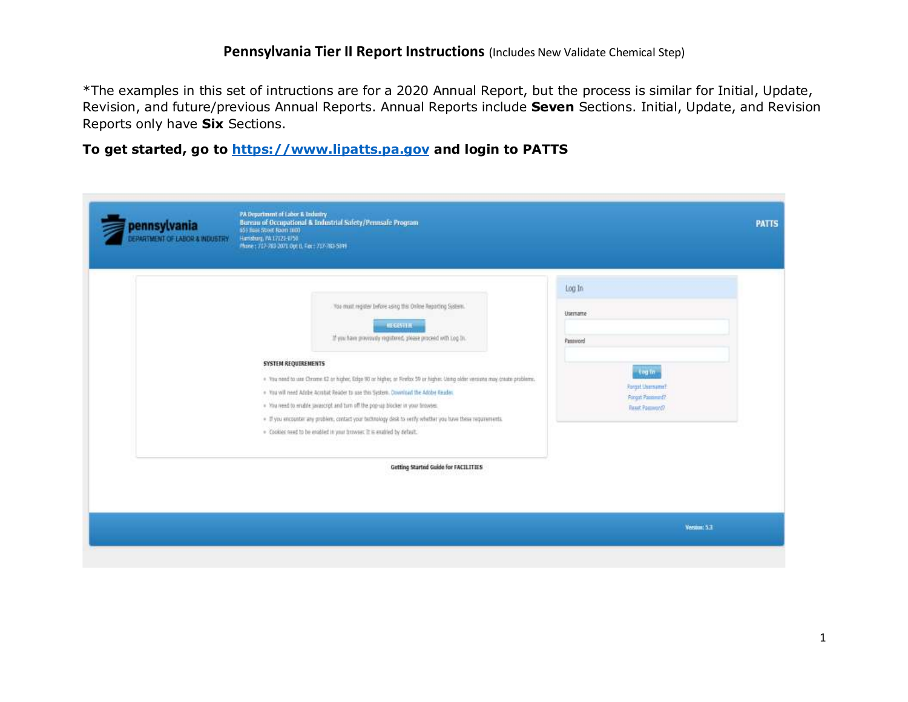\*The examples in this set of intructions are for a 2020 Annual Report, but the process is similar for Initial, Update, Revision, and future/previous Annual Reports. Annual Reports include **Seven** Sections. Initial, Update, and Revision Reports only have **Six** Sections.

**To get started, go to [https://www.lipatts.pa.gov](https://www.lipatts.pa.gov/) and login to PATTS**

| <b>Log to</b><br><b>Ronget Unersyme?</b>    |
|---------------------------------------------|
| <b>Porget Passimund?</b><br>Reset Password? |
|                                             |
|                                             |
|                                             |
|                                             |
|                                             |
|                                             |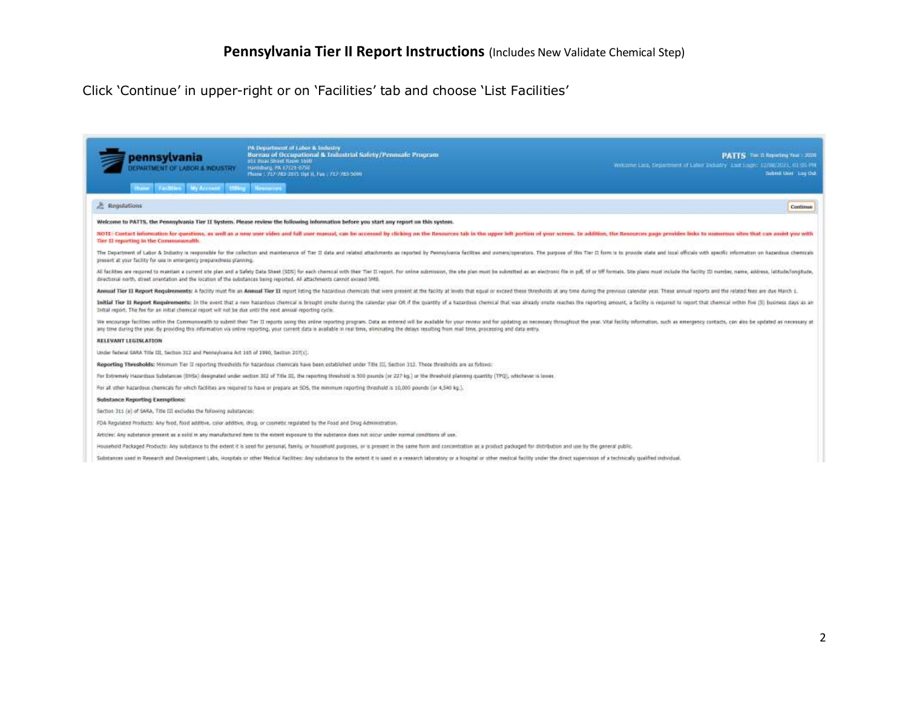Click 'Continue' in upper-right or on 'Facilities' tab and choose 'List Facilities'

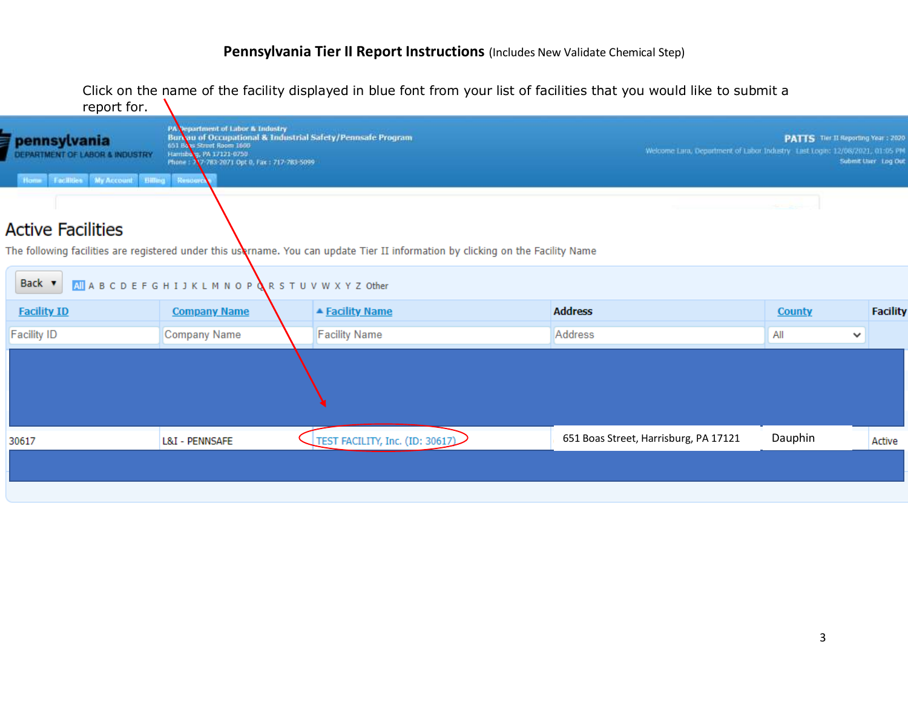Click on the name of the facility displayed in blue font from your list of facilities that you would like to submit a

| report for.                                                          |                                                                                                                                                                                                           |                                                                                                                                           |
|----------------------------------------------------------------------|-----------------------------------------------------------------------------------------------------------------------------------------------------------------------------------------------------------|-------------------------------------------------------------------------------------------------------------------------------------------|
| <b><i><u>Fpennsylvania</u></i></b><br>DEPARTMENT OF LABOR & INDUSTRY | PA Department of Labor & Industry<br>Burbau of Occupational & Industrial Safety/Pennsafe Program<br>651 Bass Street Room 1600<br>Harrisbarg, PA 17121-0750<br>Phone: 17-783-2071 Opt 0, Fax: 717-783-5099 | PATTS The II Reporting Year : 2020<br>Welcome Lara, Department of Labor Industry Last Login: 12/08/2021, 01:05 PM<br>Submit Liser Log Out |
| Home Facilities My Account Billing Resource                          |                                                                                                                                                                                                           |                                                                                                                                           |
| <b>Active Facilities</b>                                             |                                                                                                                                                                                                           |                                                                                                                                           |
|                                                                      |                                                                                                                                                                                                           |                                                                                                                                           |

The following facilities are registered under this username. You can update Tier II information by clicking on the Facility Name

| Back v             | All A B C D E F G H I J K L M N O P & R S T U V W X Y Z Other |                                 |                                       |                     |                 |
|--------------------|---------------------------------------------------------------|---------------------------------|---------------------------------------|---------------------|-----------------|
| <b>Facility ID</b> | <b>Company Name</b>                                           | ▲ Facility Name                 | <b>Address</b>                        | <b>County</b>       | <b>Facility</b> |
| <b>Facility ID</b> | <b>Company Name</b>                                           | <b>Facility Name</b>            | Address                               | All<br>$\checkmark$ |                 |
|                    |                                                               |                                 |                                       |                     |                 |
| 30617              | L&I - PENNSAFE                                                | TEST FACILITY, Inc. (ID: 30617) | 651 Boas Street, Harrisburg, PA 17121 | Dauphin             | Active          |
|                    |                                                               |                                 |                                       |                     |                 |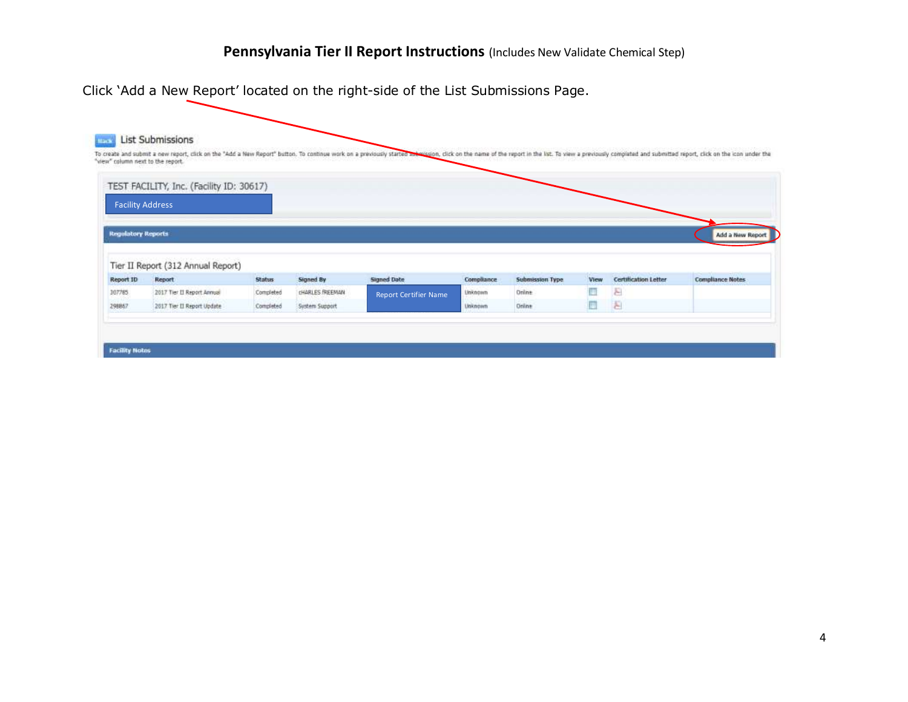|                           | <b>List Submissions</b>                  |               |                |                                                                                                                                                                                                                                |            |                        |       |                             |                         |
|---------------------------|------------------------------------------|---------------|----------------|--------------------------------------------------------------------------------------------------------------------------------------------------------------------------------------------------------------------------------|------------|------------------------|-------|-----------------------------|-------------------------|
|                           |                                          |               |                | To create and submit a new report, click on the "Add a New Report" button. To continue work on a previously started antivideon, click on the name of the report in the list. To view a previously completed and submitted repo |            |                        |       |                             |                         |
|                           | "view" column next to the report.        |               |                |                                                                                                                                                                                                                                |            |                        |       |                             |                         |
|                           | TEST FACILITY, Inc. (Facility ID: 30617) |               |                |                                                                                                                                                                                                                                |            |                        |       |                             |                         |
| <b>Facility Address</b>   |                                          |               |                |                                                                                                                                                                                                                                |            |                        |       |                             |                         |
|                           |                                          |               |                |                                                                                                                                                                                                                                |            |                        |       |                             |                         |
|                           |                                          |               |                |                                                                                                                                                                                                                                |            |                        |       |                             |                         |
|                           |                                          |               |                |                                                                                                                                                                                                                                |            |                        |       |                             |                         |
|                           |                                          |               |                |                                                                                                                                                                                                                                |            |                        |       |                             | Add a New Report        |
| <b>Regulatory Reports</b> | Tier II Report (312 Annual Report)       |               |                |                                                                                                                                                                                                                                |            |                        |       |                             |                         |
|                           | Report                                   | <b>Status</b> | Signed By      | <b>Signed Date</b>                                                                                                                                                                                                             | Compliance | <b>Submission Type</b> | View. | <b>Certification Letter</b> | <b>Compliance Notes</b> |
| Report ID<br>307785       | 2017 Tier II Report Annual               | Completed     | CHARLES REEMAN | <b>Report Certifier Name</b>                                                                                                                                                                                                   | Unknown    | Online                 | Ħ     | F                           |                         |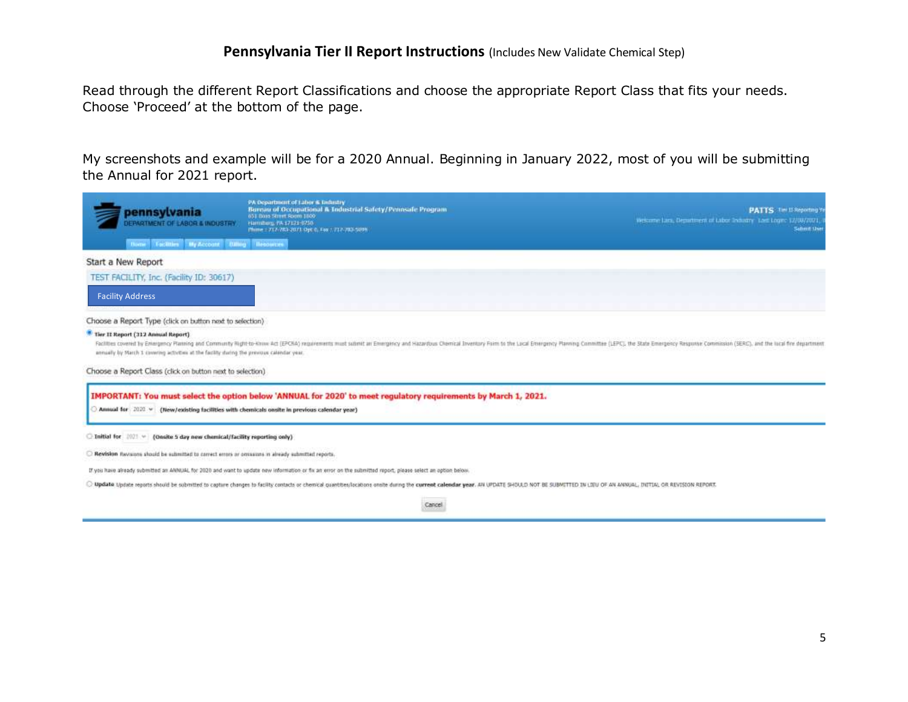Read through the different Report Classifications and choose the appropriate Report Class that fits your needs. Choose 'Proceed' at the bottom of the page.

My screenshots and example will be for a 2020 Annual. Beginning in January 2022, most of you will be submitting the Annual for 2021 report.

| pennsylvania<br>DEPARTMENT OF LABOR & INDUSTRY<br><b>Facilities My Account Cultury Resources</b>                                    | PA Department of Labor & Industry<br>Bureau of Occupational & Industrial Safety/Pennsale Program<br>651 Boas Street Room 1800<br>Flamidum, PA 17121-0750<br>Phime   717-783-2071 Opt 0, Fex 1 717-783-509%                    | <b>PATTS</b> Tier II Reporting Y<br>Welcome Lam, Department of Labor Industry, Last Logic 17/09/2021,<br><b>Satirit Use</b>                                                                                                    |
|-------------------------------------------------------------------------------------------------------------------------------------|-------------------------------------------------------------------------------------------------------------------------------------------------------------------------------------------------------------------------------|--------------------------------------------------------------------------------------------------------------------------------------------------------------------------------------------------------------------------------|
| Start a New Report                                                                                                                  |                                                                                                                                                                                                                               |                                                                                                                                                                                                                                |
| TEST FACILITY, Inc. (Facility ID: 30617)<br><b>Facility Address</b>                                                                 |                                                                                                                                                                                                                               |                                                                                                                                                                                                                                |
| Choose a Report Type (click on button next to selection)                                                                            |                                                                                                                                                                                                                               |                                                                                                                                                                                                                                |
| ** Tier II Report (312 Annual Report)<br>annually by March 1 covering activities at the facility during the previous calendar year. |                                                                                                                                                                                                                               | Facilities covered by Entergency Planning and Communty Right-to-know Act (EPCRA) requirements must submit an Entergency and Hazardous Chemical Inventory Form to the Lucal Entergency Planning Committee (LEPC), the State Ent |
| Choose a Report Class (click on button next to selection)                                                                           |                                                                                                                                                                                                                               |                                                                                                                                                                                                                                |
| Annual for 2020 v (New/existing facilities with chemicals onsite in previous calendar year)                                         | IMPORTANT: You must select the option below 'ANNUAL for 2020' to meet regulatory requirements by March 1, 2021.                                                                                                               |                                                                                                                                                                                                                                |
| $\Box$ Initial for $\Box$ $\Box$ (Onsite 5 day new chemical/facility reporting only)                                                |                                                                                                                                                                                                                               |                                                                                                                                                                                                                                |
| Revision flavorons should be submitted to correct errors or omissions in already submitted reports.                                 |                                                                                                                                                                                                                               |                                                                                                                                                                                                                                |
|                                                                                                                                     | If you have already submitted an ANNUAL for 2020 and want to update new information or fix an wrot on the submitted report, please select an option below.                                                                    |                                                                                                                                                                                                                                |
|                                                                                                                                     | O Update Update reports should be submitted to capture changes to facility contacts or chemical quantities/locations onnite during the current calendar year. AN UPDATE SHOULD NOT BE SUBMITTED IN LIEU OF AN ANNUAL, INITIAL |                                                                                                                                                                                                                                |

Cancel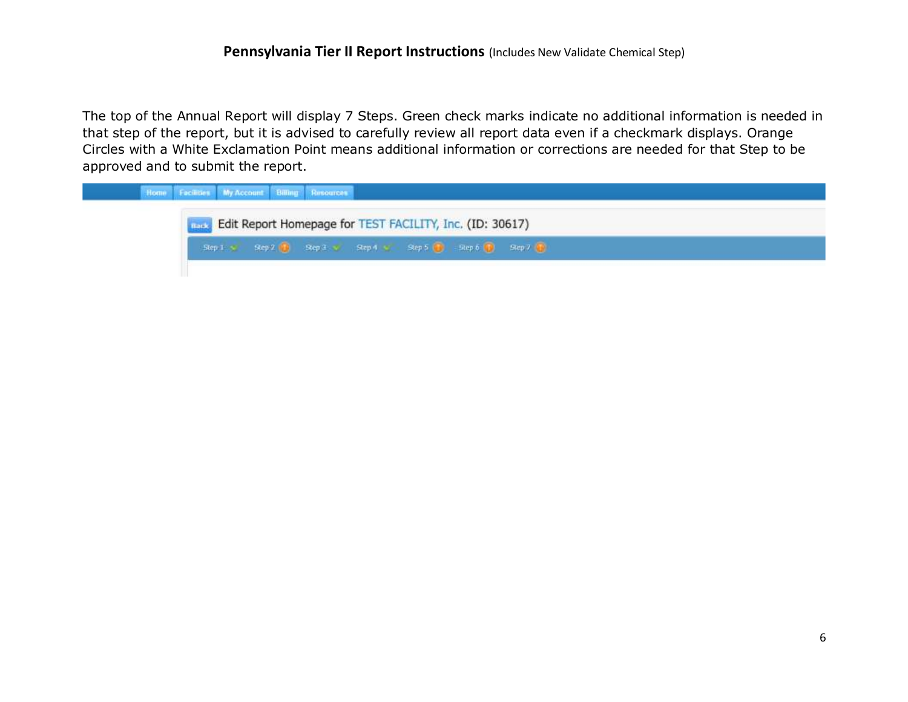The top of the Annual Report will display 7 Steps. Green check marks indicate no additional information is needed in that step of the report, but it is advised to carefully review all report data even if a checkmark displays. Orange Circles with a White Exclamation Point means additional information or corrections are needed for that Step to be approved and to submit the report.

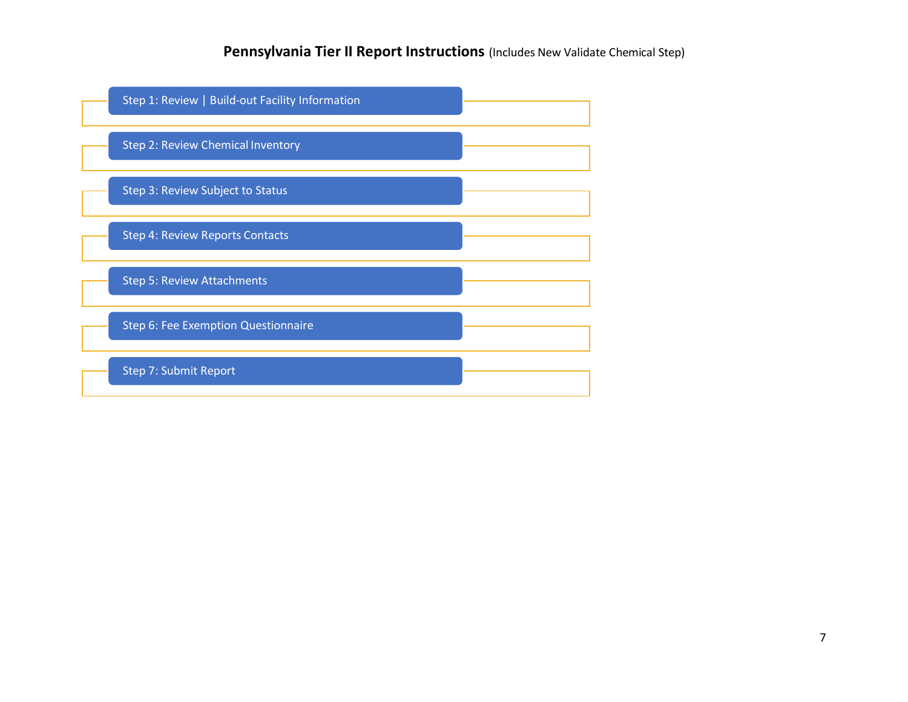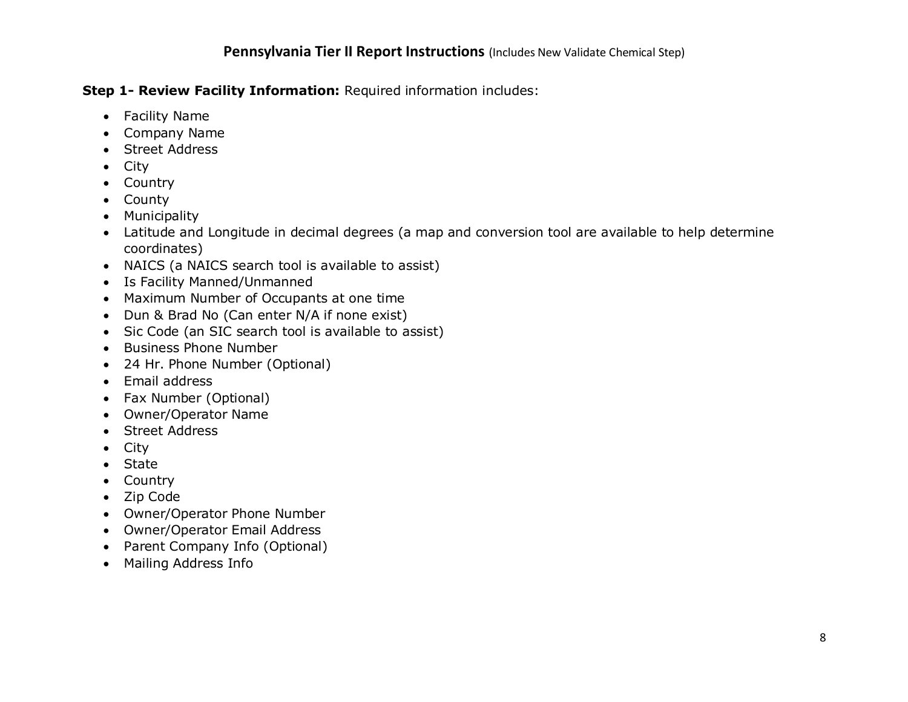# **Step 1- Review Facility Information:** Required information includes:

- Facility Name
- Company Name
- Street Address
- City
- Country
- County
- Municipality
- Latitude and Longitude in decimal degrees (a map and conversion tool are available to help determine coordinates)
- NAICS (a NAICS search tool is available to assist)
- Is Facility Manned/Unmanned
- Maximum Number of Occupants at one time
- Dun & Brad No (Can enter N/A if none exist)
- Sic Code (an SIC search tool is available to assist)
- Business Phone Number
- 24 Hr. Phone Number (Optional)
- Email address
- Fax Number (Optional)
- Owner/Operator Name
- Street Address
- City
- State
- Country
- Zip Code
- Owner/Operator Phone Number
- Owner/Operator Email Address
- Parent Company Info (Optional)
- Mailing Address Info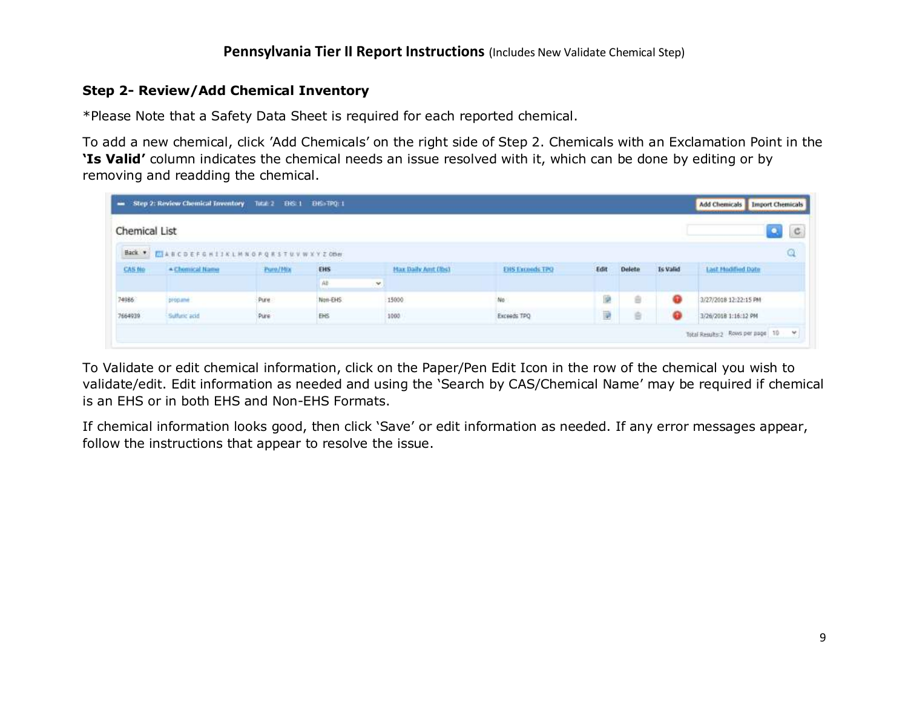#### **Step 2- Review/Add Chemical Inventory**

\*Please Note that a Safety Data Sheet is required for each reported chemical.

To add a new chemical, click 'Add Chemicals' on the right side of Step 2. Chemicals with an Exclamation Point in the **'Is Valid'** column indicates the chemical needs an issue resolved with it, which can be done by editing or by removing and readding the chemical.

| Chemical List |                                        |          |         |                      |                        |      |               |          | o.<br>$\circ$         |
|---------------|----------------------------------------|----------|---------|----------------------|------------------------|------|---------------|----------|-----------------------|
|               | Back . FLARCDEFGH11KLMNOPQRSTUVWXYZ0BH |          |         |                      |                        |      |               |          | Q                     |
| CAS No        | - Chemical Name                        | Pure/Mix | EHS     | Har Daily And (lbs)  | <b>EHS Exceeds TPO</b> | Edit | <b>Delete</b> | Is Valid | Last Modified Date    |
|               |                                        |          | 油       | Ø.                   |                        |      |               |          |                       |
| 74986         | programe                               | Pure:    | Non-EHS | 15000                | No                     | 蘭    | ÷             | ⊕        | 3/27/2018 12:22:15 PM |
| 7664939       | Sutture acid                           | Pure     | EHS     | <b>19920</b><br>1000 | Exceeds TPQ            | 冊    | 音             | ۰        | 3/26/2018 1:16:12 PM  |

To Validate or edit chemical information, click on the Paper/Pen Edit Icon in the row of the chemical you wish to validate/edit. Edit information as needed and using the 'Search by CAS/Chemical Name' may be required if chemical is an EHS or in both EHS and Non-EHS Formats.

If chemical information looks good, then click 'Save' or edit information as needed. If any error messages appear, follow the instructions that appear to resolve the issue.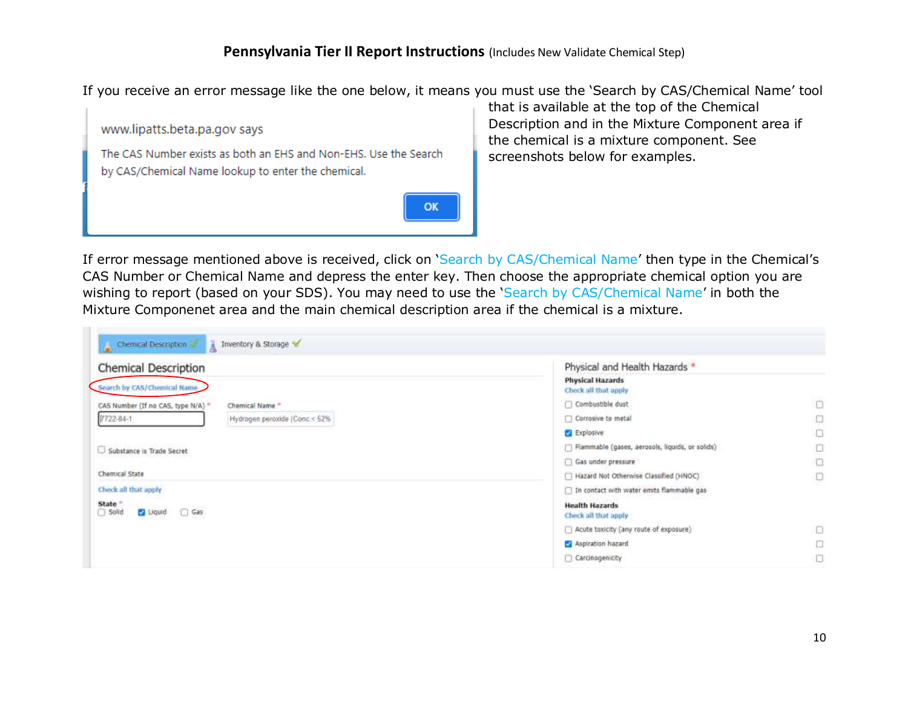If you receive an error message like the one below, it means you must use the 'Search by CAS/Chemical Name' tool



that is available at the top of the Chemical Description and in the Mixture Component area if the chemical is a mixture component. See screenshots below for examples.

If error message mentioned above is received, click on 'Search by CAS/Chemical Name' then type in the Chemical's CAS Number or Chemical Name and depress the enter key. Then choose the appropriate chemical option you are wishing to report (based on your SDS). You may need to use the 'Search by CAS/Chemical Name' in both the Mixture Componenet area and the main chemical description area if the chemical is a mixture.

| <b>Chemical Description</b>                            | Physical and Health Hazards *                   |        |  |  |  |
|--------------------------------------------------------|-------------------------------------------------|--------|--|--|--|
| Search by CAS/Chemical Name                            | <b>Physical Hazards</b><br>Check all that apply |        |  |  |  |
| CAS Number (If no CAS, type N/A) "<br>Chemical Name ** | Combustible dust                                | $\Box$ |  |  |  |
| 7722-84-1<br>Hydrogen peroxide (Conc.< 52%             | Corrosive to metal                              | $\Box$ |  |  |  |
|                                                        | Explosive:                                      | O      |  |  |  |
| Substance is Trade Secret                              | Flammable (gases, aerosols, liquids, or solids) | u      |  |  |  |
|                                                        | Gas under pressure                              |        |  |  |  |
| Chemical State                                         | Hazard Not Otherwise Classified (HNOC)          |        |  |  |  |
| Check all that apply                                   | In contact with water emits flammable gas       |        |  |  |  |
| State *<br>Solid<br>$\Box$ Gas<br><b>Ez</b> Liquid     | <b>Health Hazards</b><br>Check all that apply   |        |  |  |  |
|                                                        | Acute toxicity (any route of exposure)          | $\Box$ |  |  |  |
|                                                        | Aspiration hazard                               | o      |  |  |  |
|                                                        | Carcinogenicity                                 | O      |  |  |  |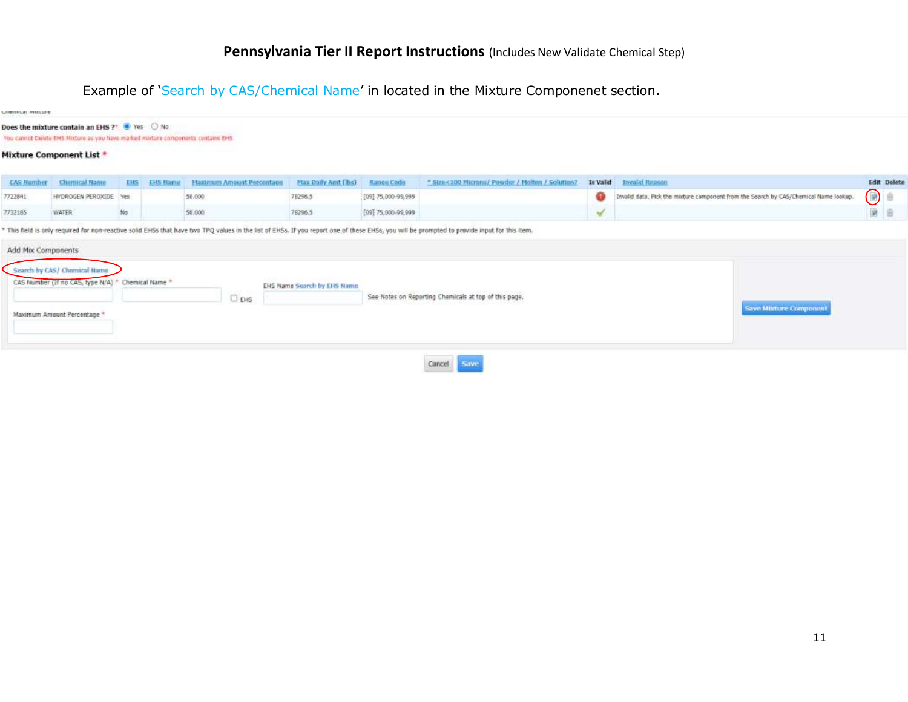Example of 'Search by CAS/Chemical Name' in located in the Mixture Componenet section.

| Custom 91-Marrille |                                                                                                                                    |     |                 |                           |                             |                      |                                                       |          |                                                                                      |            |                    |
|--------------------|------------------------------------------------------------------------------------------------------------------------------------|-----|-----------------|---------------------------|-----------------------------|----------------------|-------------------------------------------------------|----------|--------------------------------------------------------------------------------------|------------|--------------------|
|                    | Does the mixture contain an EHS ?" 6 Yes O No.<br>You cannot Delete EHS Mixture as you have marked mixture components contains EHS |     |                 |                           |                             |                      |                                                       |          |                                                                                      |            |                    |
|                    | <b>Mixture Component List *</b>                                                                                                    |     |                 |                           |                             |                      |                                                       |          |                                                                                      |            |                    |
| <b>CAS Namber</b>  | Chemical Name                                                                                                                      |     | <b>EHS Name</b> | Haximum Amount Percentage | <b>Hax Daily And (lbs)</b>  | <b>Hange Code</b>    | * Stres 100 Microns/ Powder / Molten / Solution?      | Is Valid | <b>Invalid Reason</b>                                                                |            | <b>Edit</b> Delete |
| 7722841            | HYDROGEN PEROXIDE Yes                                                                                                              |     |                 | 50,000                    | 78296.5                     | [09] 75,000-99,999   |                                                       | ⊕        | Invalid data. Pick the modure component from the Search by CAS/Chemical Name lookup. | $\bigcirc$ |                    |
| 7732185            | <b>WATER</b>                                                                                                                       | No. |                 | 50,000                    | 78296.5                     | $[09]$ 75,000-99,009 |                                                       | V        |                                                                                      | 蘭          | 油                  |
| Add Mix Components | Search by CAS/ Chemical Name<br>CAS Number (If no CAS, type N/A) * Chemical Name *                                                 |     |                 |                           | EHS Name Search by EHS Name |                      |                                                       |          |                                                                                      |            |                    |
|                    |                                                                                                                                    |     |                 | $\Box$ EHS                |                             |                      | See Notes on Reporting Chemicals at top of this page. |          |                                                                                      |            |                    |
|                    | Maximum Amount Percentage *                                                                                                        |     |                 |                           |                             |                      |                                                       |          | <b>Save Mixture Component</b>                                                        |            |                    |
|                    |                                                                                                                                    |     |                 |                           |                             |                      | Cancel<br>Save                                        |          |                                                                                      |            |                    |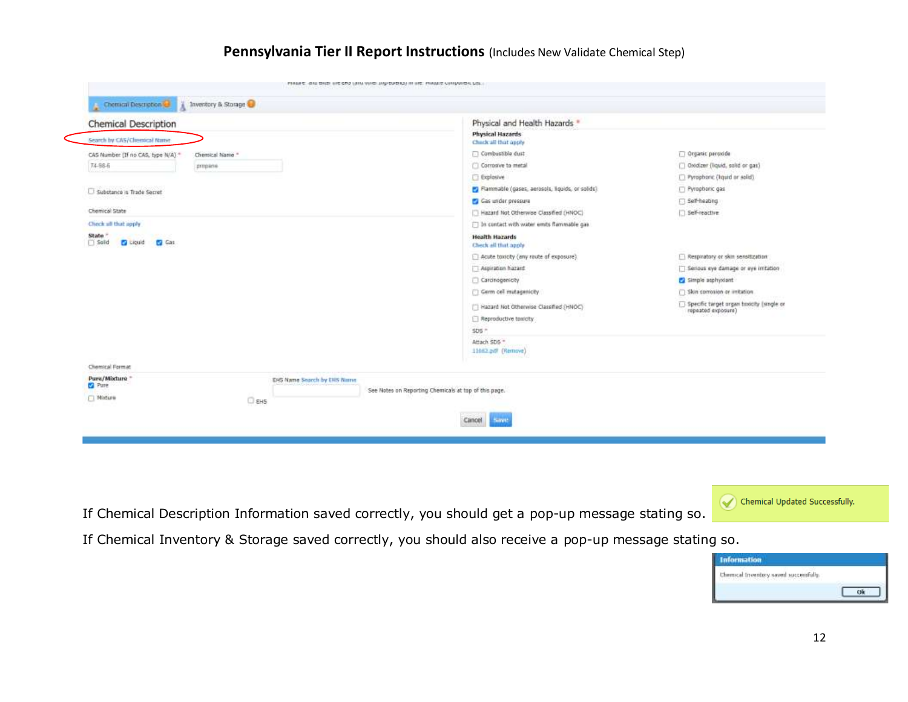| <b>Chemical Description</b>                                  | Physical and Health Hazards *                         |                                                                 |
|--------------------------------------------------------------|-------------------------------------------------------|-----------------------------------------------------------------|
| Search by CAS/Chenscal Name                                  | <b>Physical Hazards</b><br>Check all that apply       |                                                                 |
| CAS Number (If no CAS, type N/A) *<br>Chemical Name."        | Combustible dust                                      | Organic peroxide                                                |
| 74-56-6<br>propane                                           | Corrosive to metal                                    | Oxidizer (liquid, solid or gas)                                 |
|                                                              | <b>Explosive</b>                                      | [7] Pyrophonic (kguid or solid).                                |
| Substance is Trade Secret                                    | Flammable (gases, aerosols, liquids, or solids).      | Pyrophoric gas                                                  |
|                                                              | Gas under pressure                                    | Self-heating                                                    |
| Chemical State                                               | Hazard Not Otherwise Classified (HNOC)                | Self-reactive                                                   |
| Clieck all that apply                                        | T In contact with water emits flammable gas           |                                                                 |
| State "<br><b>D</b> Gas<br>$\Box$ Salid<br><b>D</b> Liquid   | <b>Health Hazards</b><br>Check all that apply         |                                                                 |
|                                                              | Acute toxicity (any route of exposure).               | Respiratory or skin sensitization                               |
|                                                              | Aspiration hazard                                     | Serious eye damage or eye initation                             |
|                                                              | Carcinogenicity                                       | Simple asphyolant                                               |
|                                                              | Germ cell mutagenicity                                | [7] Skin corrosion or initiation                                |
|                                                              | Hazard Not Otherwise Classified (HNOC)                | Specific target organ toxicity (single or<br>repeated exposure) |
|                                                              | Reproductive toxicity                                 |                                                                 |
|                                                              | $SDS$ ."                                              |                                                                 |
|                                                              | Attach SDS **<br>11462.pdf (Remove)                   |                                                                 |
| Chemical Format                                              |                                                       |                                                                 |
| Pure/Mixture *<br>EHS Name Search by EHS Nimm<br><b>Pure</b> | See Notes on Reporting Chemicals at top of this page. |                                                                 |
| <b>FI</b> Moture<br>$\Box$ EHS                               |                                                       |                                                                 |

If Chemical Description Information saved correctly, you should get a pop-up message stating so.

Chemical Updated Successfully.

If Chemical Inventory & Storage saved correctly, you should also receive a pop-up message stating so.

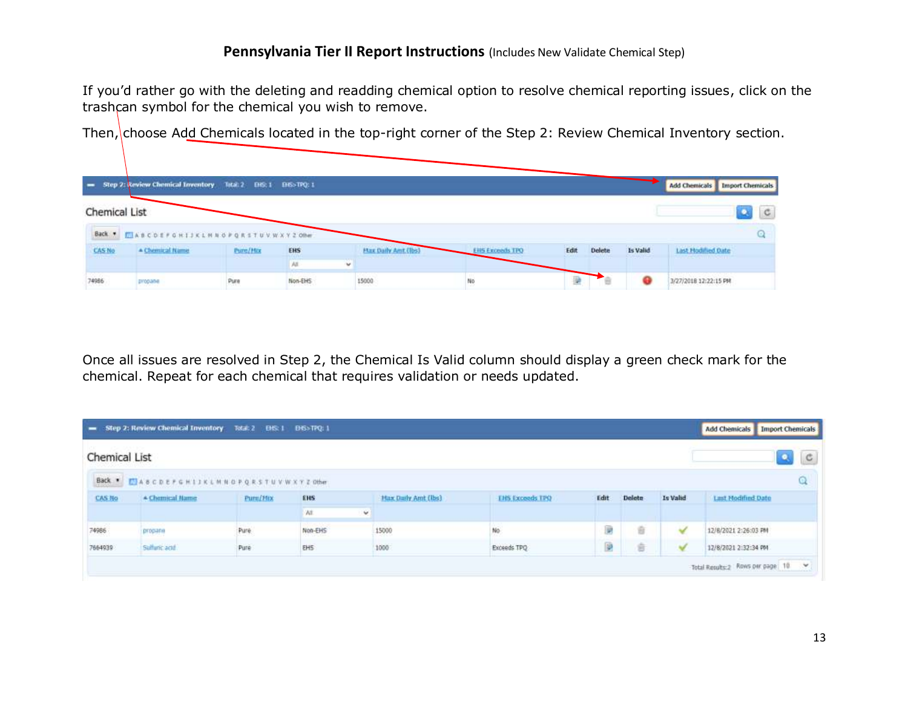If you'd rather go with the deleting and readding chemical option to resolve chemical reporting issues, click on the trashcan symbol for the chemical you wish to remove.

|                         | = Step 2: Review Chemical Inventory Total: 2 DIS: 1 DIS>TPQ: 1 |                                     |         |        |                            |                        |      |        |          | <b>Add Chemicals</b>  | <b>Import Chemicals</b> |              |
|-------------------------|----------------------------------------------------------------|-------------------------------------|---------|--------|----------------------------|------------------------|------|--------|----------|-----------------------|-------------------------|--------------|
| <b>Chemical List</b>    |                                                                |                                     |         |        |                            |                        |      |        |          |                       |                         | $\mathbf{C}$ |
|                         | Back . ELABCDEFGHIJKLMNOPQRSTUVWXY20the                        |                                     |         |        |                            |                        |      |        |          |                       |                         |              |
| <b>CAS No</b>           | - Chemical Name                                                | <b>CONTRACTOR</b><br><b>Pure/Hz</b> | EHS     |        | <b>Max Daily And (lbs)</b> | <b>EHS Exceeds TPO</b> | Edit | Delete | Is Valid | Last Hodified Oate    |                         |              |
| <b>THE R. P. LEWIS.</b> | <b>THE RACE OF</b>                                             | ---                                 | AII.    | $\sim$ | <u> Andrew Morrison (</u>  |                        |      |        |          | <b>CONTRACTOR</b>     |                         |              |
| 74986                   | propane                                                        | Pure                                | Non-EHS |        | 565<br>15000               | No                     |      |        |          | 3/27/2018 12:22:15 PM |                         |              |

Then, choose Add Chemicals located in the top-right corner of the Step 2: Review Chemical Inventory section.

Once all issues are resolved in Step 2, the Chemical Is Valid column should display a green check mark for the chemical. Repeat for each chemical that requires validation or needs updated.

|               | Step 2: Review Chemical Inventory 7stal: 2 EHS: 1 EHS>TPQ: 1 |           |            |                    |                     |                        |      |        |              |                                    |  |
|---------------|--------------------------------------------------------------|-----------|------------|--------------------|---------------------|------------------------|------|--------|--------------|------------------------------------|--|
| Chemical List |                                                              |           |            |                    |                     |                        |      |        |              | $\mathbf{Q}_k$<br>C                |  |
|               | Back . MASCDEFGHIJKLMNOPQRSTUVWXYZOHer                       |           |            |                    |                     |                        |      |        |              |                                    |  |
| <b>CAS No</b> | * Chemical Name                                              | Purn/Flix | <b>EHS</b> |                    | Max Daily Amt (lbs) | <b>EHS Exceeds TPO</b> | Edit | Delete | Is Valid     | <b>Last Modified Date</b>          |  |
|               |                                                              |           | W.         | $\dot{\mathbf{v}}$ |                     |                        |      |        |              |                                    |  |
| 74986         | propane                                                      | Pure      | Non-EHS    |                    | 15000               | No                     | B    | 盲      | $\checkmark$ | 12/8/2021 2:26:03 PM               |  |
| 7664939       | Sulfuric acid                                                | Pure      | EH5        |                    | 1000                | Exceeds TPO            | P    | 倉      | ×            | 12/8/2021 2:32:34 PM               |  |
|               |                                                              |           |            |                    |                     |                        |      |        |              | Total Results:2 Rows per page 10 V |  |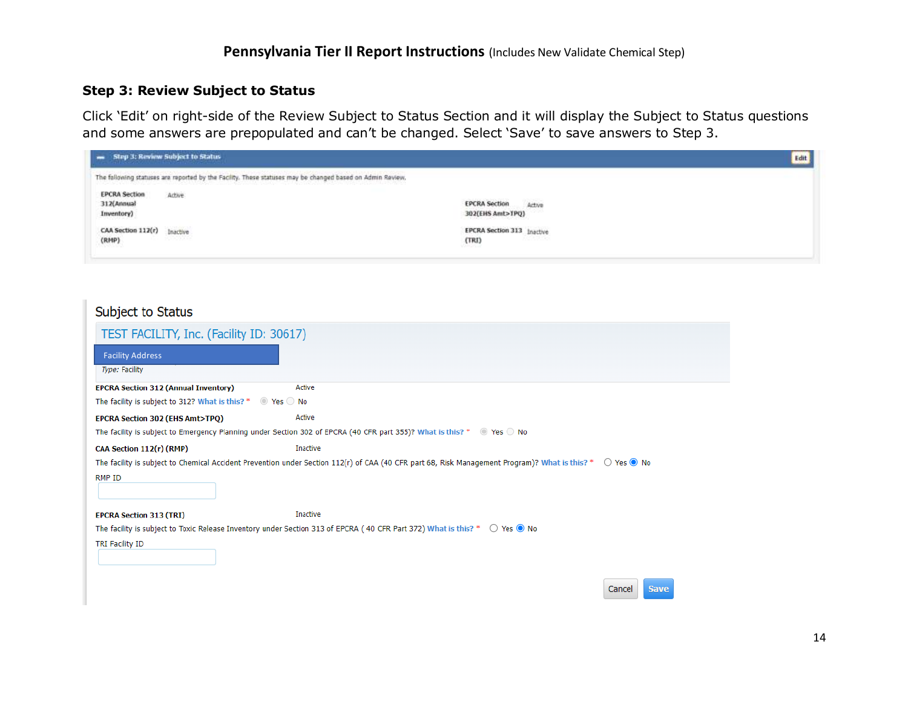#### **Step 3: Review Subject to Status**

Click 'Edit' on right-side of the Review Subject to Status Section and it will display the Subject to Status questions and some answers are prepopulated and can't be changed. Select 'Save' to save answers to Step 3.

| - Step 3: Review Subject to Status               |                                                                                                                                                                                                    |                                                                            | Edit |
|--------------------------------------------------|----------------------------------------------------------------------------------------------------------------------------------------------------------------------------------------------------|----------------------------------------------------------------------------|------|
|                                                  | The following statuses are reported by the Facility. These statuses may be changed based on Admin Review.<br>1) 아이가 아이들은 아이가 아니라 사람이 아니라 사람이 나서 아니다. 이 사람은 아이가 아니라 아이가 아니라 아이가 아니라 아니라 아니라 아이가 있다. |                                                                            |      |
| <b>EPCRA Section</b><br>312(Annual<br>Inventory) | Active                                                                                                                                                                                             | <b>EPCRA Section</b><br>Artive<br>302(EHS Amt>TPQ)                         |      |
| CAA Section 112(r)<br>(RMP)                      | Inactive<br>-2002209                                                                                                                                                                               | <b>EPCRA Section 313</b> Inactive<br>- 2222224<br>(TRI)<br><b>MARCHINE</b> |      |

| Subject to Status                                                        |                                                                                                                                                                             |                       |
|--------------------------------------------------------------------------|-----------------------------------------------------------------------------------------------------------------------------------------------------------------------------|-----------------------|
| TEST FACILITY, Inc. (Facility ID: 30617)                                 |                                                                                                                                                                             |                       |
| <b>Facility Address</b>                                                  |                                                                                                                                                                             |                       |
| Type: Facility                                                           |                                                                                                                                                                             |                       |
| <b>EPCRA Section 312 (Annual Inventory)</b>                              | Active                                                                                                                                                                      |                       |
| The facility is subject to 312? What is this? * $\bullet$ Yes $\circ$ No |                                                                                                                                                                             |                       |
| <b>EPCRA Section 302 (EHS Amt&gt;TPQ)</b>                                | Active                                                                                                                                                                      |                       |
|                                                                          | The facility is subject to Emergency Planning under Section 302 of EPCRA (40 CFR part 355)? What is this? * @ Yes O No                                                      |                       |
| CAA Section 112(r) (RMP)                                                 | Inactive                                                                                                                                                                    |                       |
|                                                                          | The facility is subject to Chemical Accident Prevention under Section 112(r) of CAA (40 CFR part 68, Risk Management Program)? What is this? * $\bigcirc$ Yes $\bigcirc$ No |                       |
| RMP ID                                                                   |                                                                                                                                                                             |                       |
| <b>EPCRA Section 313 (TRI)</b>                                           | Inactive                                                                                                                                                                    |                       |
|                                                                          | The facility is subject to Toxic Release Inventory under Section 313 of EPCRA (40 CFR Part 372) What is this? * $\bigcirc$ Yes $\bullet$ No                                 |                       |
| TRI Facility ID                                                          |                                                                                                                                                                             |                       |
|                                                                          |                                                                                                                                                                             | <b>Save</b><br>Cancel |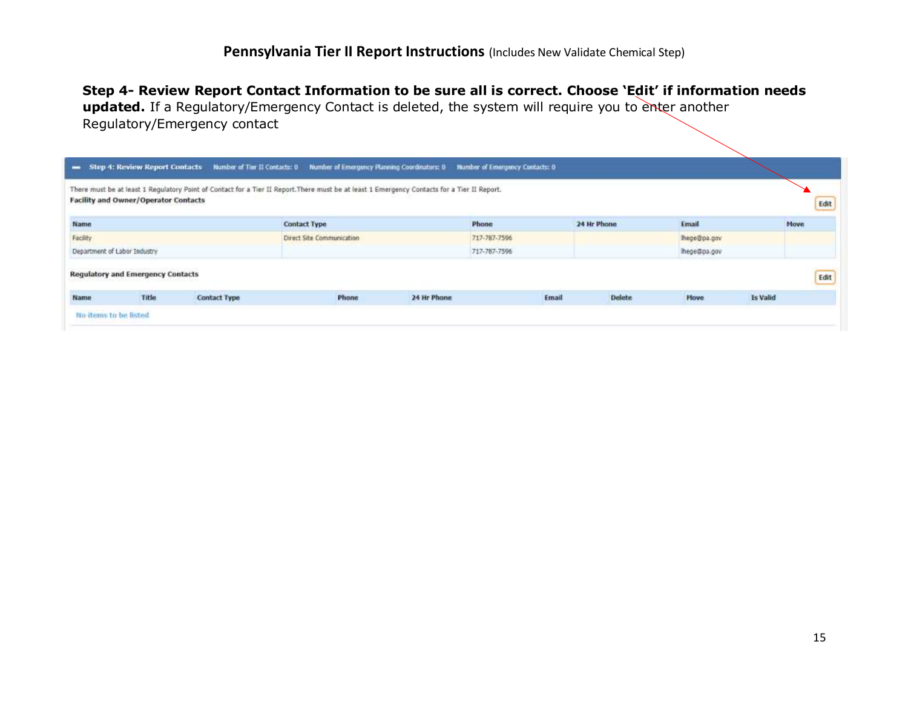# **Step 4- Review Report Contact Information to be sure all is correct. Choose 'Edit' if information needs**

**updated.** If a Regulatory/Emergency Contact is deleted, the system will require you to enter another Regulatory/Emergency contact

|          | <b>Facility and Owner/Operator Contacts</b> |              | There must be at least 1 Regulatory Point of Contact for a Tier II Report. There must be at least 1 Emergency Contacts for a Tier II Report. |             |              |       |               |             |          |             |
|----------|---------------------------------------------|--------------|----------------------------------------------------------------------------------------------------------------------------------------------|-------------|--------------|-------|---------------|-------------|----------|-------------|
| Name     |                                             |              | <b>Contact Type</b>                                                                                                                          |             | Phone        |       | 24 Hr Phone   | Email       |          | <b>Move</b> |
| Facility |                                             |              | Direct Site Communication                                                                                                                    |             | 717-787-7596 |       |               | hope@pa.gov |          |             |
|          | Department of Labor Industry                |              |                                                                                                                                              |             | 717-787-7596 |       |               | hege@pa.gov |          |             |
|          | <b>Regulatory and Emergency Contacts</b>    |              |                                                                                                                                              |             |              |       |               |             |          |             |
| Name     | Title                                       | Contact Type | Phone                                                                                                                                        | 24 Hr Phone |              | Email | <b>Delete</b> | <b>Move</b> | Is Valid |             |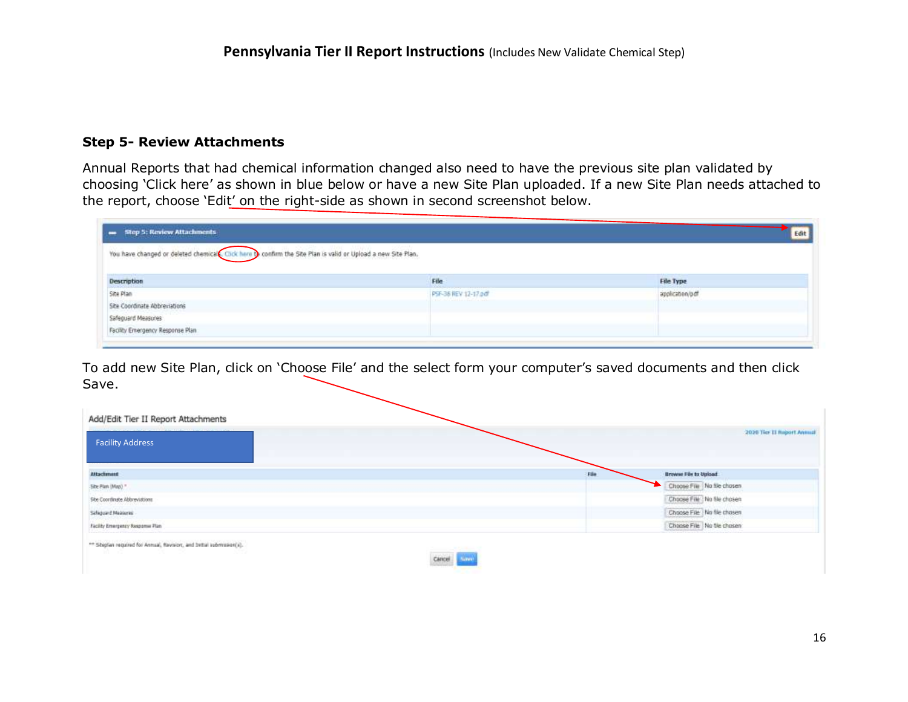### **Step 5- Review Attachments**

Annual Reports that had chemical information changed also need to have the previous site plan validated by choosing 'Click here' as shown in blue below or have a new Site Plan uploaded. If a new Site Plan needs attached to the report, choose 'Edit' on the right-side as shown in second screenshot below.

| - Step 5: Review Attachments                                                                             |                      | Edit             |
|----------------------------------------------------------------------------------------------------------|----------------------|------------------|
| You have changed or deleted chemical Click here become the Site Plan is valid or Upload a new Site Plan. |                      |                  |
| <b>Description</b>                                                                                       | File                 | <b>File Type</b> |
| Site Plan                                                                                                | PSF-36 REV 12-17 odf | application/pdf  |
| Site Coordinate Abbreviations                                                                            |                      | an linici ni     |
| Safeguard Measures                                                                                       |                      |                  |
|                                                                                                          |                      |                  |

To add new Site Plan, click on 'Choose File' and the select form your computer's saved documents and then click Save.

| <b>Facility Address</b>          |      | 2020 Tier II Roport Annual   |
|----------------------------------|------|------------------------------|
| <b>Attachment</b>                | File | <b>Browse File to Upload</b> |
| Site Plan (Map)."                |      | Choose File No file chosen   |
| She Coordinate Abbreviations     |      | Choose File No file chosen   |
| Safeguard Measures               |      | Choose File No file chosen   |
| Facility Emergency Response Plan |      | Choose File   No file chosen |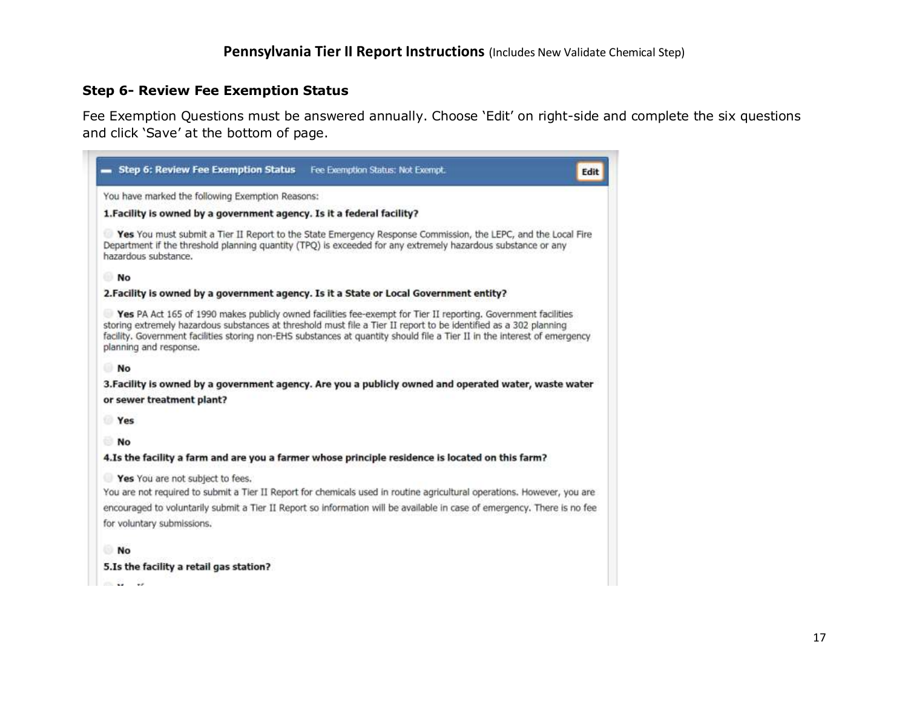#### **Step 6- Review Fee Exemption Status**

Fee Exemption Questions must be answered annually. Choose 'Edit' on right-side and complete the six questions and click 'Save' at the bottom of page.

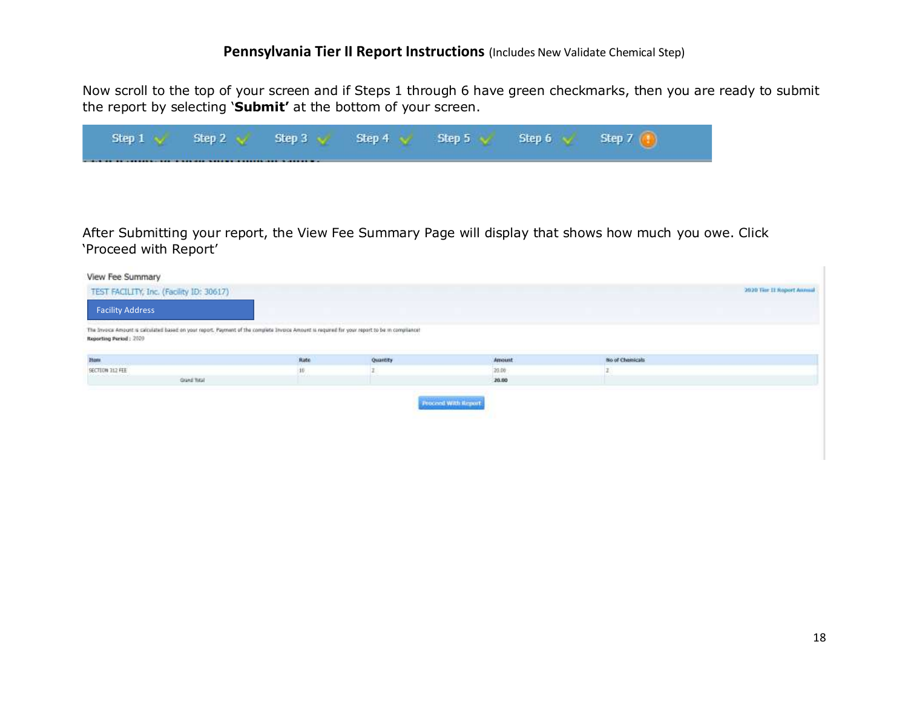Now scroll to the top of your screen and if Steps 1 through 6 have green checkmarks, then you are ready to submit the report by selecting '**Submit'** at the bottom of your screen.

| Step 1 | Step 2 | Step 3 | Step 4 | Sten 5 | Sten 6 | Chan 7 |
|--------|--------|--------|--------|--------|--------|--------|
|        |        |        |        |        |        |        |

After Submitting your report, the View Fee Summary Page will display that shows how much you owe. Click 'Proceed with Report'

| View Fee Summary                                                                                                                                                         |              |          |                     |                 |                            |
|--------------------------------------------------------------------------------------------------------------------------------------------------------------------------|--------------|----------|---------------------|-----------------|----------------------------|
| TEST FACILITY, Inc. (Facility ID: 30617)                                                                                                                                 |              |          |                     |                 | 2020 Tier II Report Annual |
| <b>Facility Address</b>                                                                                                                                                  |              |          |                     |                 |                            |
| The Investa Amsort is calculated based on your report. Payment of the complete Investe Amount is required for your report to be in compliance!<br>Reporting Parked: 2020 |              |          |                     |                 |                            |
| Item.                                                                                                                                                                    | Rate         | Quantity | Amount              | No of Chemicals |                            |
| SECTION 312 FEE                                                                                                                                                          | 10           |          | 20.00               |                 |                            |
| Abertaluministic<br><b>Qued fistal</b>                                                                                                                                   | <b>USICO</b> |          | 20.00               |                 |                            |
|                                                                                                                                                                          |              |          | Proceed With Report |                 |                            |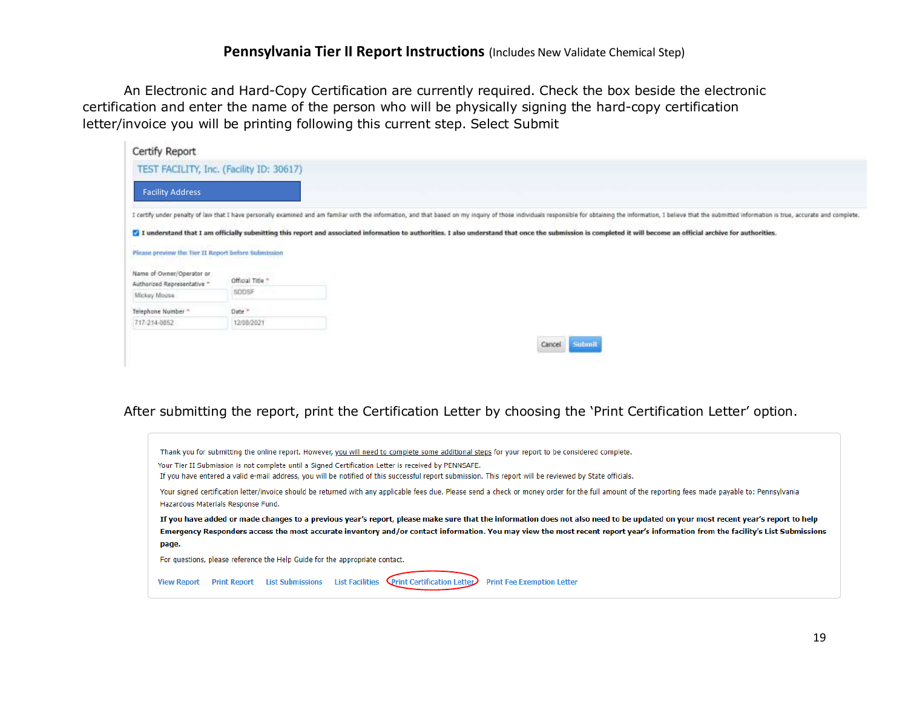An Electronic and Hard-Copy Certification are currently required. Check the box beside the electronic certification and enter the name of the person who will be physically signing the hard-copy certification letter/invoice you will be printing following this current step. Select Submit

| Certify Report                                           |                                          |                                                                                                                                                                                                                                |
|----------------------------------------------------------|------------------------------------------|--------------------------------------------------------------------------------------------------------------------------------------------------------------------------------------------------------------------------------|
|                                                          | TEST FACILITY, Inc. (Facility ID: 30617) |                                                                                                                                                                                                                                |
| <b>Facility Address</b>                                  |                                          |                                                                                                                                                                                                                                |
|                                                          |                                          | I certify under penalty of law that I have personally examined and am familiar with the information, and that based on my inquiry of those individuals responsible for obtaining the information, I believe that the submitted |
|                                                          |                                          | [7] I understand that I am officially submitting this report and associated information to authorities. I also understand that once the submission is completed it will become an official archive for authorities.            |
| Plitase provinw the Tier II Report before Submission     |                                          |                                                                                                                                                                                                                                |
| Name of Owner/Operator or<br>Authorized Representative * | Official Title                           |                                                                                                                                                                                                                                |
| Mickey Mouse                                             | SDOSF                                    |                                                                                                                                                                                                                                |
| Telephone Number "                                       | Date *                                   |                                                                                                                                                                                                                                |
| 717-214-0852                                             | 12/08/2021                               |                                                                                                                                                                                                                                |
|                                                          |                                          | Submit<br>Cancel                                                                                                                                                                                                               |

#### After submitting the report, print the Certification Letter by choosing the 'Print Certification Letter' option.

![](_page_18_Picture_4.jpeg)